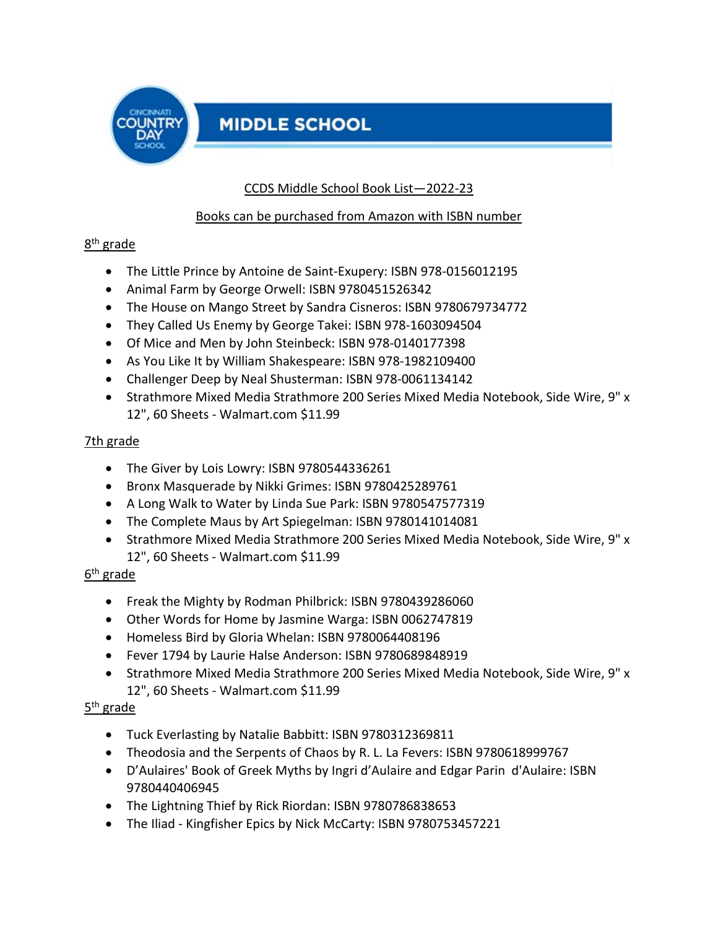

# **MIDDLE SCHOOL**

## CCDS Middle School Book List—2022-23

#### Books can be purchased from Amazon with ISBN number

## 8th grade

- The Little Prince by Antoine de Saint-Exupery: ISBN 978-0156012195
- Animal Farm by George Orwell: ISBN 9780451526342
- The House on Mango Street by Sandra Cisneros: ISBN 9780679734772
- They Called Us Enemy by George Takei: ISBN 978-1603094504
- Of Mice and Men by John Steinbeck: ISBN 978-0140177398
- As You Like It by William Shakespeare: ISBN 978-1982109400
- Challenger Deep by Neal Shusterman: ISBN 978-0061134142
- Strathmore Mixed Media [Strathmore 200 Series Mixed Media Notebook, Side Wire, 9" x](https://www.walmart.com/ip/Strathmore-200-Series-Mixed-Media-Notebook-Side-Wire-9-x-12-60-Sheets/112139580?wmlspartner=wlpa&selectedSellerId=0&&adid=22222222227000000000&wl0=&wl1=g&wl2=c&wl3=42423897272&wl4=pla-51320962143&wl5=9052181&wl6=&wl7=&wl8=&wl9=pla&wl10=8175035&wl11=online&wl12=112139580&veh=sem&gclid=EAIaIQobChMIkuLpg8an9wIVRCc4Ch28rQdtEAQYBCABEgIyVPD_BwE&gclsrc=aw.ds)  [12", 60 Sheets -](https://www.walmart.com/ip/Strathmore-200-Series-Mixed-Media-Notebook-Side-Wire-9-x-12-60-Sheets/112139580?wmlspartner=wlpa&selectedSellerId=0&&adid=22222222227000000000&wl0=&wl1=g&wl2=c&wl3=42423897272&wl4=pla-51320962143&wl5=9052181&wl6=&wl7=&wl8=&wl9=pla&wl10=8175035&wl11=online&wl12=112139580&veh=sem&gclid=EAIaIQobChMIkuLpg8an9wIVRCc4Ch28rQdtEAQYBCABEgIyVPD_BwE&gclsrc=aw.ds) Walmart.com \$11.99

## 7th grade

- The Giver by Lois Lowry: ISBN 9780544336261
- Bronx Masquerade by Nikki Grimes: ISBN 9780425289761
- A Long Walk to Water by Linda Sue Park: ISBN 9780547577319
- The Complete Maus by Art Spiegelman: ISBN 9780141014081
- Strathmore Mixed Media [Strathmore 200 Series Mixed Media Notebook, Side Wire, 9" x](https://www.walmart.com/ip/Strathmore-200-Series-Mixed-Media-Notebook-Side-Wire-9-x-12-60-Sheets/112139580?wmlspartner=wlpa&selectedSellerId=0&&adid=22222222227000000000&wl0=&wl1=g&wl2=c&wl3=42423897272&wl4=pla-51320962143&wl5=9052181&wl6=&wl7=&wl8=&wl9=pla&wl10=8175035&wl11=online&wl12=112139580&veh=sem&gclid=EAIaIQobChMIkuLpg8an9wIVRCc4Ch28rQdtEAQYBCABEgIyVPD_BwE&gclsrc=aw.ds)  [12", 60 Sheets -](https://www.walmart.com/ip/Strathmore-200-Series-Mixed-Media-Notebook-Side-Wire-9-x-12-60-Sheets/112139580?wmlspartner=wlpa&selectedSellerId=0&&adid=22222222227000000000&wl0=&wl1=g&wl2=c&wl3=42423897272&wl4=pla-51320962143&wl5=9052181&wl6=&wl7=&wl8=&wl9=pla&wl10=8175035&wl11=online&wl12=112139580&veh=sem&gclid=EAIaIQobChMIkuLpg8an9wIVRCc4Ch28rQdtEAQYBCABEgIyVPD_BwE&gclsrc=aw.ds) Walmart.com \$11.99

## 6th grade

- Freak the Mighty by Rodman Philbrick: ISBN 9780439286060
- Other Words for Home by Jasmine Warga: ISBN 0062747819
- Homeless Bird by Gloria Whelan: ISBN 9780064408196
- Fever 1794 by Laurie Halse Anderson: ISBN 9780689848919
- Strathmore Mixed Media [Strathmore 200 Series Mixed Media Notebook, Side Wire, 9" x](https://www.walmart.com/ip/Strathmore-200-Series-Mixed-Media-Notebook-Side-Wire-9-x-12-60-Sheets/112139580?wmlspartner=wlpa&selectedSellerId=0&&adid=22222222227000000000&wl0=&wl1=g&wl2=c&wl3=42423897272&wl4=pla-51320962143&wl5=9052181&wl6=&wl7=&wl8=&wl9=pla&wl10=8175035&wl11=online&wl12=112139580&veh=sem&gclid=EAIaIQobChMIkuLpg8an9wIVRCc4Ch28rQdtEAQYBCABEgIyVPD_BwE&gclsrc=aw.ds)  [12", 60 Sheets -](https://www.walmart.com/ip/Strathmore-200-Series-Mixed-Media-Notebook-Side-Wire-9-x-12-60-Sheets/112139580?wmlspartner=wlpa&selectedSellerId=0&&adid=22222222227000000000&wl0=&wl1=g&wl2=c&wl3=42423897272&wl4=pla-51320962143&wl5=9052181&wl6=&wl7=&wl8=&wl9=pla&wl10=8175035&wl11=online&wl12=112139580&veh=sem&gclid=EAIaIQobChMIkuLpg8an9wIVRCc4Ch28rQdtEAQYBCABEgIyVPD_BwE&gclsrc=aw.ds) Walmart.com \$11.99

## 5th grade

- Tuck Everlasting by Natalie Babbitt: ISBN 9780312369811
- Theodosia and the Serpents of Chaos by R. L. La Fevers: ISBN 9780618999767
- D'Aulaires' Book of Greek Myths by Ingri d'Aulaire and Edgar Parin d'Aulaire: ISBN 9780440406945
- The Lightning Thief by Rick Riordan: ISBN 9780786838653
- The Iliad Kingfisher Epics by Nick McCarty: ISBN 9780753457221